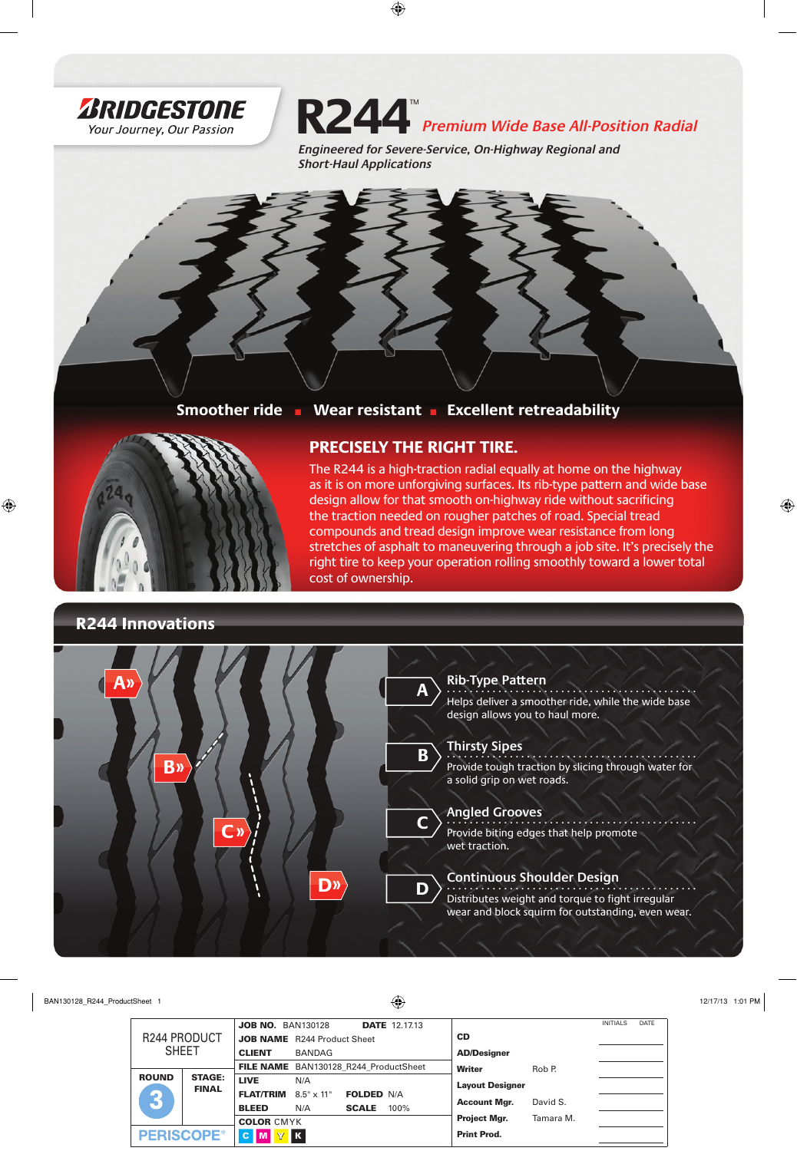

**R244** *Premium Wide Base All-Position Radial*

*Engineered for Severe-Service, On-Highway Regional and Short-Haul Applications*

**Smoother ride** ■ **Wear resistant** ■ **Excellent retreadability**



**R244 Innovations**

## **PRECISELY THE RIGHT TIRE.**

The R244 is a high-traction radial equally at home on the highway as it is on more unforgiving surfaces. Its rib-type pattern and wide base design allow for that smooth on-highway ride without sacrificing the traction needed on rougher patches of road. Special tread compounds and tread design improve wear resistance from long stretches of asphalt to maneuvering through a job site. It's precisely the right tire to keep your operation rolling smoothly toward a lower total cost of ownership.

#### **D Rib-Type Pattern**  . . . . . . . . . . . . . . . . . . . . . . . . . . . . . . . . . . . . . . . . . . . . Helps deliver a smoother ride, while the wide base design allows you to haul more. **Thirsty Sipes**  . . . . . . . . . . . . . . . . . . . . . . . . . . . . . . . . . . . . . . . . . . . . Provide tough traction by slicing through water for a solid grip on wet roads. **Angled Grooves** . . . . . . . . . . . . . . . . . . . . . . . . . . . . . . . . . . . . . . . . . . . . Provide biting edges that help promote wet traction. **Continuous Shoulder Design** . . . . . . . . . . . . . . . . . . . . . . . . . . . . . . . . . . . . . . . . . . . . Distributes weight and torque to fight irregular wear and block squirm for outstanding, even wear. **A B C A» B» D» C»**